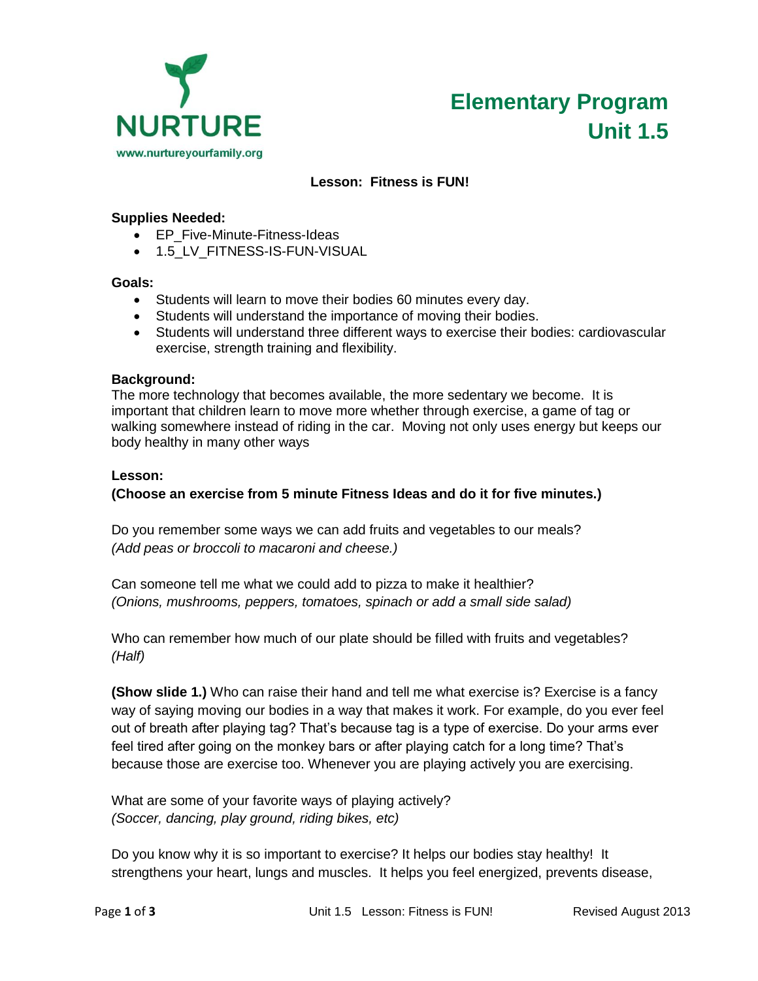



# **Lesson: Fitness is FUN!**

### **Supplies Needed:**

- EP\_Five-Minute-Fitness-Ideas
- 1.5\_LV\_FITNESS-IS-FUN-VISUAL

## **Goals:**

- Students will learn to move their bodies 60 minutes every day.
- Students will understand the importance of moving their bodies.
- Students will understand three different ways to exercise their bodies: cardiovascular exercise, strength training and flexibility.

#### **Background:**

The more technology that becomes available, the more sedentary we become. It is important that children learn to move more whether through exercise, a game of tag or walking somewhere instead of riding in the car. Moving not only uses energy but keeps our body healthy in many other ways

#### **Lesson:**

## **(Choose an exercise from 5 minute Fitness Ideas and do it for five minutes.)**

Do you remember some ways we can add fruits and vegetables to our meals? *(Add peas or broccoli to macaroni and cheese.)*

Can someone tell me what we could add to pizza to make it healthier? *(Onions, mushrooms, peppers, tomatoes, spinach or add a small side salad)*

Who can remember how much of our plate should be filled with fruits and vegetables? *(Half)*

**(Show slide 1.)** Who can raise their hand and tell me what exercise is? Exercise is a fancy way of saying moving our bodies in a way that makes it work. For example, do you ever feel out of breath after playing tag? That's because tag is a type of exercise. Do your arms ever feel tired after going on the monkey bars or after playing catch for a long time? That's because those are exercise too. Whenever you are playing actively you are exercising.

What are some of your favorite ways of playing actively? *(Soccer, dancing, play ground, riding bikes, etc)*

Do you know why it is so important to exercise? It helps our bodies stay healthy! It strengthens your heart, lungs and muscles. It helps you feel energized, prevents disease,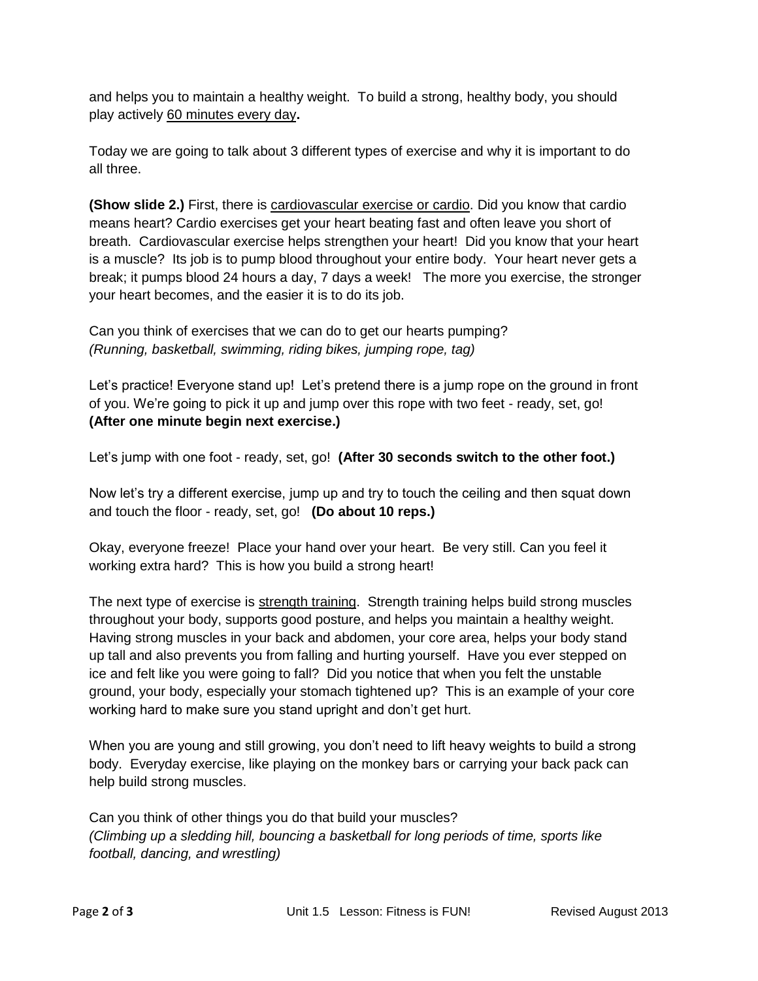and helps you to maintain a healthy weight. To build a strong, healthy body, you should play actively 60 minutes every day**.**

Today we are going to talk about 3 different types of exercise and why it is important to do all three.

**(Show slide 2.)** First, there is cardiovascular exercise or cardio. Did you know that cardio means heart? Cardio exercises get your heart beating fast and often leave you short of breath. Cardiovascular exercise helps strengthen your heart! Did you know that your heart is a muscle? Its job is to pump blood throughout your entire body. Your heart never gets a break; it pumps blood 24 hours a day, 7 days a week! The more you exercise, the stronger your heart becomes, and the easier it is to do its job.

Can you think of exercises that we can do to get our hearts pumping? *(Running, basketball, swimming, riding bikes, jumping rope, tag)*

Let's practice! Everyone stand up! Let's pretend there is a jump rope on the ground in front of you. We're going to pick it up and jump over this rope with two feet - ready, set, go! **(After one minute begin next exercise.)**

Let's jump with one foot - ready, set, go! **(After 30 seconds switch to the other foot.)**

Now let's try a different exercise, jump up and try to touch the ceiling and then squat down and touch the floor - ready, set, go! **(Do about 10 reps.)**

Okay, everyone freeze! Place your hand over your heart. Be very still. Can you feel it working extra hard? This is how you build a strong heart!

The next type of exercise is strength training. Strength training helps build strong muscles throughout your body, supports good posture, and helps you maintain a healthy weight. Having strong muscles in your back and abdomen, your core area, helps your body stand up tall and also prevents you from falling and hurting yourself. Have you ever stepped on ice and felt like you were going to fall? Did you notice that when you felt the unstable ground, your body, especially your stomach tightened up? This is an example of your core working hard to make sure you stand upright and don't get hurt.

When you are young and still growing, you don't need to lift heavy weights to build a strong body. Everyday exercise, like playing on the monkey bars or carrying your back pack can help build strong muscles.

Can you think of other things you do that build your muscles? *(Climbing up a sledding hill, bouncing a basketball for long periods of time, sports like football, dancing, and wrestling)*